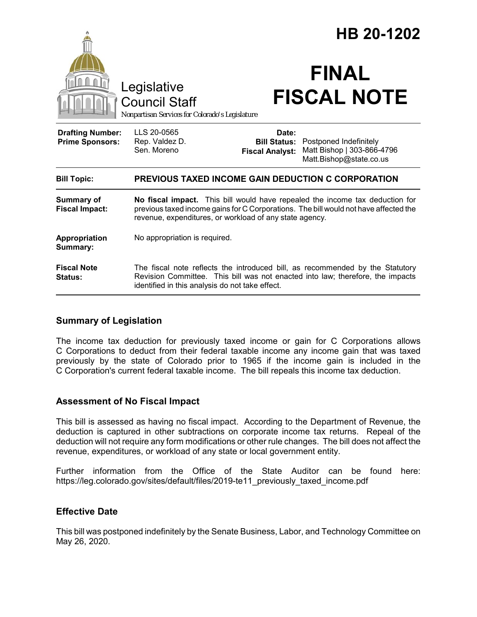|                                                   | Legislative<br><b>Council Staff</b><br>Nonpartisan Services for Colorado's Legislature                                                                                                                                          |                                                        | HB 20-1202<br><b>FINAL</b><br><b>FISCAL NOTE</b>                                |
|---------------------------------------------------|---------------------------------------------------------------------------------------------------------------------------------------------------------------------------------------------------------------------------------|--------------------------------------------------------|---------------------------------------------------------------------------------|
| <b>Drafting Number:</b><br><b>Prime Sponsors:</b> | LLS 20-0565<br>Rep. Valdez D.<br>Sen. Moreno                                                                                                                                                                                    | Date:<br><b>Bill Status:</b><br><b>Fiscal Analyst:</b> | Postponed Indefinitely<br>Matt Bishop   303-866-4796<br>Matt.Bishop@state.co.us |
| <b>Bill Topic:</b>                                | PREVIOUS TAXED INCOME GAIN DEDUCTION C CORPORATION                                                                                                                                                                              |                                                        |                                                                                 |
| <b>Summary of</b><br><b>Fiscal Impact:</b>        | No fiscal impact. This bill would have repealed the income tax deduction for<br>previous taxed income gains for C Corporations. The bill would not have affected the<br>revenue, expenditures, or workload of any state agency. |                                                        |                                                                                 |
| <b>Appropriation</b><br>Summary:                  | No appropriation is required.                                                                                                                                                                                                   |                                                        |                                                                                 |
| <b>Fiscal Note</b><br>Status:                     | The fiscal note reflects the introduced bill, as recommended by the Statutory<br>Revision Committee. This bill was not enacted into law; therefore, the impacts<br>identified in this analysis do not take effect.              |                                                        |                                                                                 |

## **Summary of Legislation**

The income tax deduction for previously taxed income or gain for C Corporations allows C Corporations to deduct from their federal taxable income any income gain that was taxed previously by the state of Colorado prior to 1965 if the income gain is included in the C Corporation's current federal taxable income. The bill repeals this income tax deduction.

## **Assessment of No Fiscal Impact**

This bill is assessed as having no fiscal impact. According to the Department of Revenue, the deduction is captured in other subtractions on corporate income tax returns. Repeal of the deduction will not require any form modifications or other rule changes. The bill does not affect the revenue, expenditures, or workload of any state or local government entity.

Further information from the Office of the State Auditor can be found here: https://leg.colorado.gov/sites/default/files/2019-te11\_previously\_taxed\_income.pdf

## **Effective Date**

This bill was postponed indefinitely by the Senate Business, Labor, and Technology Committee on May 26, 2020.